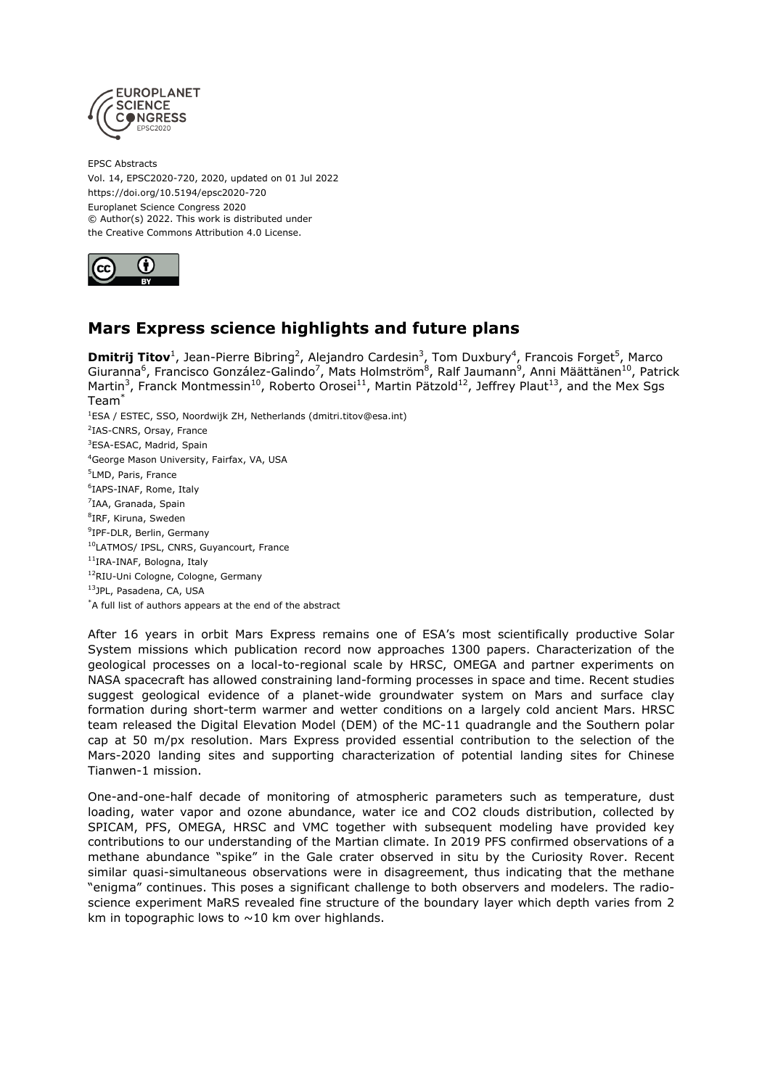

EPSC Abstracts Vol. 14, EPSC2020-720, 2020, updated on 01 Jul 2022 https://doi.org/10.5194/epsc2020-720 Europlanet Science Congress 2020 © Author(s) 2022. This work is distributed under the Creative Commons Attribution 4.0 License.



## **Mars Express science highlights and future plans**

**Dmitrij Titov**<sup>1</sup>, Jean-Pierre Bibring<sup>2</sup>, Alejandro Cardesin<sup>3</sup>, Tom Duxbury<sup>4</sup>, Francois Forget<sup>5</sup>, Marco Giuranna<sup>6</sup>, Francisco González-Galindo<sup>7</sup>, Mats Holmström<sup>8</sup>, Ralf Jaumann<sup>9</sup>, Anni Määttänen<sup>10</sup>, Patrick Martin<sup>3</sup>, Franck Montmessin<sup>10</sup>, Roberto Orosei<sup>11</sup>, Martin Pätzold<sup>12</sup>, Jeffrey Plaut<sup>13</sup>, and the Mex Sgs Team\*

<sup>1</sup>ESA / ESTEC, SSO, Noordwijk ZH, Netherlands (dmitri.titov@esa.int) <sup>2</sup>IAS-CNRS, Orsay, France <sup>3</sup>ESA-ESAC, Madrid, Spain <sup>4</sup>George Mason University, Fairfax, VA, USA <sup>5</sup>LMD, Paris, France 6 IAPS-INAF, Rome, Italy <sup>7</sup>IAA, Granada, Spain <sup>8</sup>IRF, Kiruna, Sweden <sup>9</sup>IPF-DLR, Berlin, Germany <sup>10</sup>LATMOS/ IPSL, CNRS, Guyancourt, France <sup>11</sup>IRA-INAF, Bologna, Italy <sup>12</sup>RIU-Uni Cologne, Cologne, Germany <sup>13</sup>JPL, Pasadena, CA, USA \*A full list of authors appears at the end of the abstract

After 16 years in orbit Mars Express remains one of ESA's most scientifically productive Solar System missions which publication record now approaches 1300 papers. Characterization of the geological processes on a local-to-regional scale by HRSC, OMEGA and partner experiments on NASA spacecraft has allowed constraining land-forming processes in space and time. Recent studies suggest geological evidence of a planet-wide groundwater system on Mars and surface clay formation during short-term warmer and wetter conditions on a largely cold ancient Mars. HRSC team released the Digital Elevation Model (DEM) of the MC-11 quadrangle and the Southern polar cap at 50 m/px resolution. Mars Express provided essential contribution to the selection of the Mars-2020 landing sites and supporting characterization of potential landing sites for Chinese Tianwen-1 mission.

One-and-one-half decade of monitoring of atmospheric parameters such as temperature, dust loading, water vapor and ozone abundance, water ice and CO2 clouds distribution, collected by SPICAM, PFS, OMEGA, HRSC and VMC together with subsequent modeling have provided key contributions to our understanding of the Martian climate. In 2019 PFS confirmed observations of a methane abundance "spike" in the Gale crater observed in situ by the Curiosity Rover. Recent similar quasi-simultaneous observations were in disagreement, thus indicating that the methane "enigma" continues. This poses a significant challenge to both observers and modelers. The radioscience experiment MaRS revealed fine structure of the boundary layer which depth varies from 2 km in topographic lows to  $\sim$  10 km over highlands.